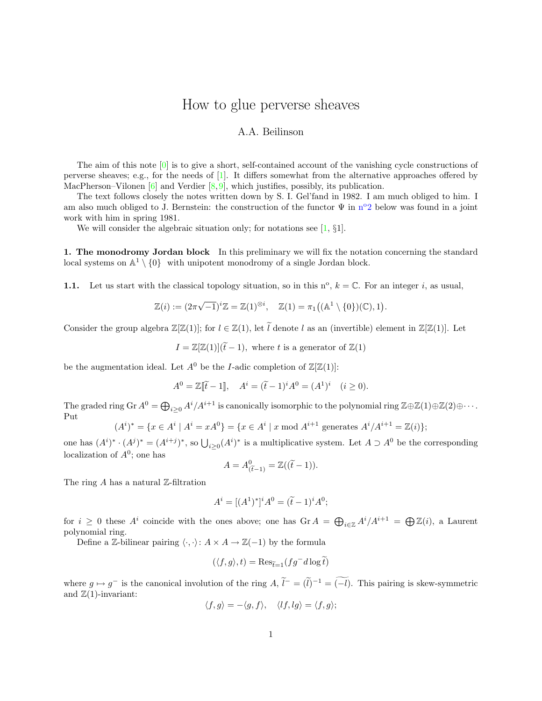# How to glue perverse sheaves

## A.A. Beilinson

The aim of this note [\[0\]](#page-7-0) is to give a short, self-contained account of the vanishing cycle constructions of perverse sheaves; e.g., for the needs of [\[1\]](#page-7-1). It differs somewhat from the alternative approaches offered by MacPherson–Vilonen  $[6]$  and Verdier  $[8, 9]$  $[8, 9]$  $[8, 9]$ , which justifies, possibly, its publication.

The text follows closely the notes written down by S. I. Gel'fand in 1982. I am much obliged to him. I am also much obliged to J. Ber[n](#page-1-0)stein: the construction of the functor  $\Psi$  in  $n^{\circ}2$  below was found in a joint work with him in spring 1981.

We will consider the algebraic situation only; for notations see [\[1,](#page-7-1)  $\S1$ ].

1. The monodromy Jordan block In this preliminary we will fix the notation concerning the standard local systems on  $\mathbb{A}^1 \setminus \{0\}$  with unipotent monodromy of a single Jordan block.

<span id="page-0-0"></span>1.1. Let us start with the classical topology situation, so in this  $n^{\circ}$ ,  $k = \mathbb{C}$ . For an integer i, as usual,

$$
\mathbb{Z}(i) := (2\pi\sqrt{-1})^i \mathbb{Z} = \mathbb{Z}(1)^{\otimes i}, \quad \mathbb{Z}(1) = \pi_1((\mathbb{A}^1 \setminus \{0\})(\mathbb{C}), 1)
$$

.

Consider the group algebra  $\mathbb{Z}[\mathbb{Z}(1)]$ ; for  $l \in \mathbb{Z}(1)$ , let  $\tilde{l}$  denote l as an (invertible) element in  $\mathbb{Z}[\mathbb{Z}(1)]$ . Let

$$
I = \mathbb{Z}[\mathbb{Z}(1)](\widetilde{t} - 1), \text{ where } t \text{ is a generator of } \mathbb{Z}(1)
$$

be the augmentation ideal. Let  $A^0$  be the *I*-adic completion of  $\mathbb{Z}[\mathbb{Z}(1)]$ :

$$
A^{0} = \mathbb{Z}[\tilde{t} - 1], \quad A^{i} = (\tilde{t} - 1)^{i} A^{0} = (A^{1})^{i} \quad (i \ge 0).
$$

The graded ring Gr  $A^0 = \bigoplus_{i \geq 0} A^i/A^{i+1}$  is canonically isomorphic to the polynomial ring  $\mathbb{Z} \oplus \mathbb{Z}(1) \oplus \mathbb{Z}(2) \oplus \cdots$ . Put

$$
(Ai)* = \{x \in Ai \mid Ai = xA0\} = \{x \in Ai \mid x \bmod Ai+1 \text{ generates } Ai/Ai+1 = \mathbb{Z}(i)\};
$$

one has  $(A^i)^* \cdot (A^j)^* = (A^{i+j})^*$ , so  $\bigcup_{i \geq 0} (A^i)^*$  is a multiplicative system. Let  $A \supset A^0$  be the corresponding localization of  $A^0$ ; one has

$$
A = A^0_{(\widetilde{t}-1)} = \mathbb{Z}((\widetilde{t}-1)).
$$

The ring  $A$  has a natural  $Z$ -filtration

$$
A^{i} = [(A^{1})^{*}]^{i} A^{0} = (\tilde{t} - 1)^{i} A^{0};
$$

for  $i \geq 0$  these  $A^i$  coincide with the ones above; one has  $\operatorname{Gr} A = \bigoplus_{i \in \mathbb{Z}} A^i / A^{i+1} = \bigoplus \mathbb{Z}(i)$ , a Laurent polynomial ring.

Define a Z-bilinear pairing  $\langle \cdot, \cdot \rangle: A \times A \to \mathbb{Z}(-1)$  by the formula

$$
(\langle f, g \rangle, t) = \text{Res}_{\widetilde{t}=1} (f g^- d \log \widetilde{t})
$$

where  $g \mapsto g^-$  is the canonical involution of the ring  $A, \tilde{l}^- = (\tilde{l})^{-1} = (-l)$ . This pairing is skew-symmetric and  $\mathbb{Z}(1)$ -invariant:

$$
\langle f, g \rangle = -\langle g, f \rangle, \quad \langle lf, lg \rangle = \langle f, g \rangle;
$$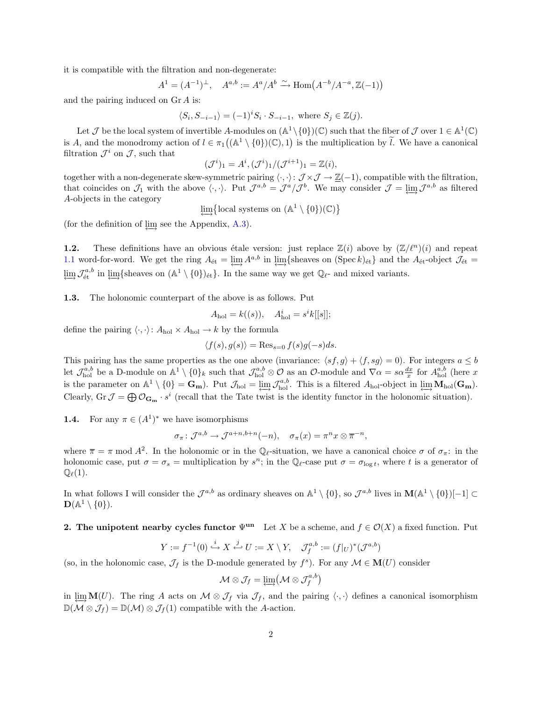it is compatible with the filtration and non-degenerate:

$$
A^{1} = (A^{-1})^{\perp}, \quad A^{a,b} := A^{a}/A^{b} \xrightarrow{\sim} \text{Hom}(A^{-b}/A^{-a}, \mathbb{Z}(-1))
$$

and the pairing induced on Gr A is:

$$
\langle S_i, S_{-i-1} \rangle = (-1)^i S_i \cdot S_{-i-1}, \text{ where } S_j \in \mathbb{Z}(j).
$$

Let  $\mathcal J$  be the local system of invertible A-modules on  $(\mathbb A^1 \setminus \{0\})(\mathbb C)$  such that the fiber of  $\mathcal J$  over  $1 \in \mathbb A^1(\mathbb C)$ is A, and the monodromy action of  $l \in \pi_1((\mathbb{A}^1 \setminus \{0\})(\mathbb{C}), 1)$  is the multiplication by  $\tilde{l}$ . We have a canonical filtration  $\mathcal{J}^i$  on  $\mathcal{J}$ , such that

$$
(\mathcal{J}^i)_1 = A^i, (\mathcal{J}^i)_1 / (\mathcal{J}^{i+1})_1 = \mathbb{Z}(i),
$$

together with a non-degenerate skew-symmetric pairing  $\langle \cdot, \cdot \rangle: \mathcal{J} \times \mathcal{J} \to \underline{\mathbb{Z}}(-1)$ , compatible with the filtration, that coincides on  $\mathcal{J}_1$  with the above  $\langle \cdot, \cdot \rangle$ . Put  $\mathcal{J}^{a,b} = \mathcal{J}^a/\mathcal{J}^b$ . We may consider  $\mathcal{J} = \varprojlim \mathcal{J}^{a,b}$  as filtered A-objects in the category

 $\varprojlim \{ \text{local systems on } (\mathbb{A}^1 \setminus \{0\})(\mathbb{C}) \}$ 

(for the definition of  $\lim$  see the Appendix, [A.3\)](#page-6-0).

**1.2.** These definitions have an obvious étale version: just replace  $\mathbb{Z}(i)$  above by  $(\mathbb{Z}/\ell^n)(i)$  and repeat [1.1](#page-0-0) word-for-word. We get the ring  $A_{\text{\'et}} = \varprojlim A^{a,b}$  in  $\varprojlim \{\text{sheaves on (Spec } k)_{\text{\'et}}\}$  and the  $A_{\text{\'et}}$ -object  $\mathcal{J}_{\text{\'et}} =$  $\varprojlim_{\mathcal{A}} \mathcal{J}_{\text{\text{\'et}}}^{a,b}$  in  $\varprojlim_{\mathcal{A}} \{\text{sheaves on } (\mathbb{A}^1 \setminus \{0\})_{\text{\'et}}\}.$  In the same way we get  $\mathbb{Q}_{\ell}$ - and mixed variants.

1.3. The holonomic counterpart of the above is as follows. Put

$$
A_{hol} = k((s)), \quad A_{hol}^i = s^i k[[s]];
$$

define the pairing  $\langle \cdot, \cdot \rangle: A_{hol} \times A_{hol} \to k$  by the formula

$$
\langle f(s), g(s) \rangle = \text{Res}_{s=0} f(s)g(-s)ds.
$$

This pairing has the same properties as the one above (invariance:  $\langle sf, g \rangle + \langle f, sg \rangle = 0$ ). For integers  $a \leq b$ let  $\mathcal{J}_{hol}^{a,b}$  be a D-module on  $\mathbb{A}^1 \setminus \{0\}_k$  such that  $\mathcal{J}_{hol}^{a,b} \otimes \mathcal{O}$  as an  $\mathcal{O}$ -module and  $\nabla \alpha = s \alpha \frac{dx}{x}$  for  $A_{hol}^{a,b}$  (here x is the parameter on  $\mathbb{A}^1 \setminus \{0\} = \mathbf{G}_m$ . Put  $\mathcal{J}_{hol} = \varprojlim \mathcal{J}_{hol}^{a,b}$ . This is a filtered  $A_{hol}$ -object in  $\varprojlim \mathbf{M}_{hol}(\mathbf{G}_m)$ . Clearly,  $\text{Gr } \mathcal{J} = \bigoplus \mathcal{O}_{\mathbf{G}_{\mathbf{m}}} \cdot s^i$  (recall that the Tate twist is the identity functor in the holonomic situation).

<span id="page-1-1"></span>**1.4.** For any  $\pi \in (A^1)^*$  we have isomorphisms

$$
\sigma_{\pi} \colon \mathcal{J}^{a,b} \to \mathcal{J}^{a+n,b+n}(-n), \quad \sigma_{\pi}(x) = \pi^n x \otimes \overline{\pi}^{-n},
$$

where  $\bar{\pi} = \pi \mod A^2$ . In the holonomic or in the Q<sub> $\ell$ </sub>-situation, we have a canonical choice  $\sigma$  of  $\sigma_{\pi}$ : in the holonomic case, put  $\sigma = \sigma_s$  = multiplication by  $s^n$ ; in the  $\mathbb{Q}_\ell$ -case put  $\sigma = \sigma_{\log t}$ , where t is a generator of  $\mathbb{Q}_{\ell}(1).$ 

In what follows I will consider the  $\mathcal{J}^{a,b}$  as ordinary sheaves on  $\mathbb{A}^1 \setminus \{0\}$ , so  $\mathcal{J}^{a,b}$  lives in  $\mathbf{M}(\mathbb{A}^1 \setminus \{0\})[-1] \subset$  $\mathbf{D}(\mathbb{A}^1\setminus\{0\}).$ 

### <span id="page-1-0"></span>2. The unipotent nearby cycles functor  $\Psi^{\text{un}}$  Let X be a scheme, and  $f \in \mathcal{O}(X)$  a fixed function. Put

$$
Y := f^{-1}(0) \stackrel{i}{\hookrightarrow} X \stackrel{j}{\hookleftarrow} U := X \setminus Y, \quad \mathcal{J}_f^{a,b} := (f|_U)^*(\mathcal{J}^{a,b})
$$

(so, in the holonomic case,  $\mathcal{J}_f$  is the D-module generated by  $f^s$ ). For any  $\mathcal{M} \in M(U)$  consider

$$
\mathcal{M}\otimes\mathcal{J}_f=\lim_{\longleftrightarrow}(\mathcal{M}\otimes\mathcal{J}_f^{a,b})
$$

in lim $\mathbf{M}(U)$ . The ring A acts on  $\mathcal{M} \otimes \mathcal{J}_f$  via  $\mathcal{J}_f$ , and the pairing  $\langle \cdot, \cdot \rangle$  defines a canonical isomorphism  $\mathbb{D}(\mathcal{M} \otimes \mathcal{J}_f) = \mathbb{D}(\mathcal{M}) \otimes \mathcal{J}_f(1)$  compatible with the A-action.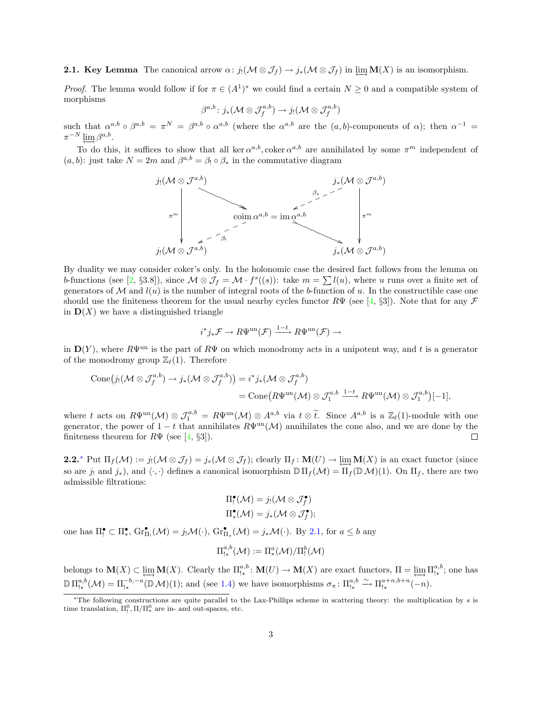<span id="page-2-1"></span>**2.1. Key Lemma** The canonical arrow  $\alpha$ :  $j_! (\mathcal{M} \otimes \mathcal{J}_f) \to j_*(\mathcal{M} \otimes \mathcal{J}_f)$  in lim $\mathbf{M}(X)$  is an isomorphism.

*Proof.* The lemma would follow if for  $\pi \in (A^1)^*$  we could find a certain  $N \geq 0$  and a compatible system of morphisms

$$
\beta^{a,b}\colon j_*(\mathcal{M}\otimes \mathcal{J}_f^{a,b})\to j_!(\mathcal{M}\otimes \mathcal{J}_f^{a,b})
$$

such that  $\alpha^{a,b} \circ \beta^{a,b} = \pi^N = \beta^{a,b} \circ \alpha^{a,b}$  (where the  $\alpha^{a,b}$  are the  $(a,b)$ -components of  $\alpha$ ); then  $\alpha^{-1} =$  $\pi^{-N} \varprojlim \beta^{a,b}.$ 

To do this, it suffices to show that all ker  $\alpha^{a,b}$ , coker  $\alpha^{a,b}$  are annihilated by some  $\pi^m$  independent of  $(a, b)$ : just take  $N = 2m$  and  $\beta^{a,b} = \beta_1 \circ \beta_*$  in the commutative diagram



By duality we may consider coker's only. In the holonomic case the desired fact follows from the lemma on b-functions (see [\[2,](#page-7-5) §3.8]), since  $\mathcal{M} \otimes \mathcal{J}_f = \mathcal{M} \cdot f^s((s))$ : take  $m = \sum l(u)$ , where u runs over a finite set of generators of  $\mathcal M$  and  $l(u)$  is the number of integral roots of the b-function of u. In the constructible case one should use the finiteness theorem for the usual nearby cycles functor  $R\Psi$  (see [\[4,](#page-7-6) §3]). Note that for any  $\mathcal F$ in  $\mathbf{D}(X)$  we have a distinguished triangle

$$
i^*j_*\mathcal{F} \to R\Psi^{\text{un}}(\mathcal{F}) \xrightarrow{1-t} R\Psi^{\text{un}}(\mathcal{F}) \to
$$

in  $\mathbf{D}(Y)$ , where  $R\Psi^{\text{un}}$  is the part of  $R\Psi$  on which monodromy acts in a unipotent way, and t is a generator of the monodromy group  $\mathbb{Z}_{\ell}(1)$ . Therefore

$$
\begin{split} \text{Cone}\big(j_! (\mathcal{M} \otimes \mathcal{J}_f^{a,b}) \to j_*(\mathcal{M} \otimes \mathcal{J}_f^{a,b})\big) &= i^* j_*(\mathcal{M} \otimes \mathcal{J}_f^{a,b}) \\ &= \text{Cone}\big(R\Psi^{\text{un}}(\mathcal{M}) \otimes \mathcal{J}_1^{a,b} \xrightarrow{1-t} R\Psi^{\text{un}}(\mathcal{M}) \otimes \mathcal{J}_1^{a,b}\big)[-1], \end{split}
$$

where t acts on  $R\Psi^{\text{un}}(\mathcal{M}) \otimes \mathcal{J}_1^{a,b} = R\Psi^{\text{un}}(\mathcal{M}) \otimes A^{a,b}$  via  $t \otimes \tilde{t}$ . Since  $A^{a,b}$  is a  $\mathbb{Z}_{\ell}(1)$ -module with one generator, the power of  $1-t$  that annihilates  $R\Psi^{\text{un}}(\mathcal{M})$  annihilates the cone also, and we are done by the finiteness theorem for  $R\Psi$  (see [\[4,](#page-7-6) §3]).  $\Box$ 

**2.2.**\* Put  $\Pi_f(\mathcal{M}) := j_1(\mathcal{M} \otimes \mathcal{J}_f) = j_*(\mathcal{M} \otimes \mathcal{J}_f)$ ; clearly  $\Pi_f: \mathbf{M}(U) \to \lim \mathbf{M}(X)$  is an exact functor (since so are j<sub>!</sub> and j<sub>\*</sub>), and  $\langle \cdot, \cdot \rangle$  defines a canonical isomorphism  $\mathbb{D} \Pi_f (\mathcal{M}) = \Pi_f (\mathbb{D} \mathcal{M})(1)$ . On  $\Pi_f$ , there are two admissible filtrations:

$$
\Pi_!^{\bullet}(\mathcal{M}) = j_! (\mathcal{M} \otimes \mathcal{J}_f^{\bullet})
$$
  

$$
\Pi_*^{\bullet}(\mathcal{M}) = j_*(\mathcal{M} \otimes \mathcal{J}_f^{\bullet});
$$

one has  $\Pi_{!}^{\bullet} \subset \Pi_{*}^{\bullet}$ ,  $\mathrm{Gr}_{\Pi_{!}}^{\bullet}(\mathcal{M}) = j_{!}\mathcal{M}(\cdot)$ ,  $\mathrm{Gr}_{\Pi_{*}}^{\bullet}(\mathcal{M}) = j_{*}\mathcal{M}(\cdot)$ . By [2.1,](#page-2-1) for  $a \leq b$  any

$$
\Pi_{!*}^{a,b}({\mathcal M}):=\Pi_*^a({\mathcal M})/\Pi_!^b({\mathcal M})
$$

belongs to  $\mathbf{M}(X) \subset \varprojlim \mathbf{M}(X)$ . Clearly the  $\Pi_{!*}^{a,b} \colon \mathbf{M}(U) \to \mathbf{M}(X)$  are exact functors,  $\Pi = \varprojlim \Pi_{!*}^{a,b}$ ; one has  $\mathbb{D} \Pi_{\mathsf{I} *}^{a,b}(\mathcal{M}) = \Pi_{\mathsf{I} *}^{-b,-a}(\mathbb{D}\mathcal{M})(1);$  and (see [1.4\)](#page-1-1) we have isomorphisms  $\sigma_{\pi} \colon \Pi_{\mathsf{I} *}^{a,b} \xrightarrow{\sim} \Pi_{\mathsf{I} *}^{a+n,b+n}(-n)$ .

<span id="page-2-0"></span><sup>∗</sup>The following constructions are quite parallel to the Lax-Phillips scheme in scattering theory: the multiplication by s is time translation,  $\Pi_!^0$ ,  $\Pi/\Pi_*^0$  are in- and out-spaces, etc.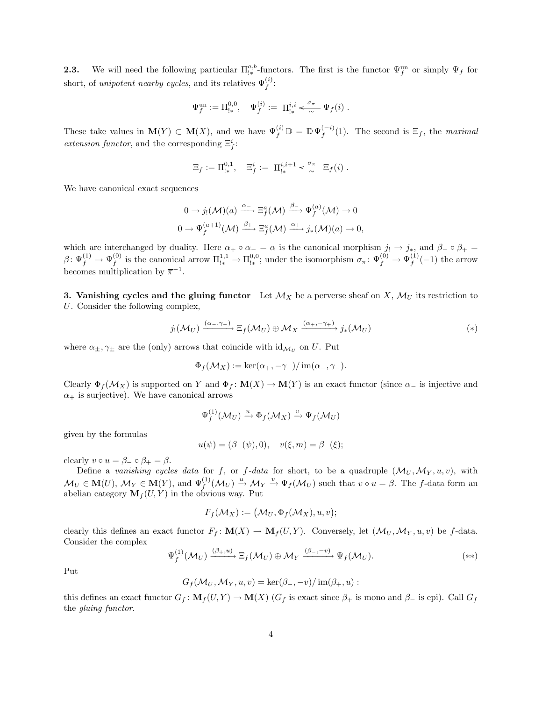<span id="page-3-2"></span>**2.3.** We will need the following particular  $\Pi_{1*}^{a,b}$ -functors. The first is the functor  $\Psi_f^{\text{un}}$  or simply  $\Psi_f$  for short, of unipotent nearby cycles, and its relatives  $\Psi_f^{(i)}$ :

$$
\Psi_f^{\mathrm{un}} := \Pi_{!*}^{0,0}, \quad \Psi_f^{(i)} := \Pi_{!*}^{i,i} \xleftarrow{\sigma_\pi} \Psi_f(i) .
$$

These take values in  $\mathbf{M}(Y) \subset \mathbf{M}(X)$ , and we have  $\Psi_f^{(i)} \mathbb{D} = \mathbb{D} \Psi_f^{(-i)}$  $f_f^{(-i)}(1)$ . The second is  $\Xi_f$ , the maximal *extension functor*, and the corresponding  $\Xi^i_f$ :

$$
\Xi_f := \Pi^{0,1}_{!*}, \quad \Xi^i_f := \Pi^{i,i+1}_{!*} \xleftarrow{\sigma_{\pi}} \Xi_f(i) .
$$

We have canonical exact sequences

$$
0 \to j_! (\mathcal{M})(a) \xrightarrow{\alpha_-} \Xi_f^a(\mathcal{M}) \xrightarrow{\beta_-} \Psi_f^{(a)}(\mathcal{M}) \to 0
$$
  

$$
0 \to \Psi_f^{(a+1)}(\mathcal{M}) \xrightarrow{\beta_+} \Xi_f^a(\mathcal{M}) \xrightarrow{\alpha_+} j_*(\mathcal{M})(a) \to 0,
$$

which are interchanged by duality. Here  $\alpha_+ \circ \alpha_- = \alpha$  is the canonical morphism  $j_! \to j_*$ , and  $\beta_- \circ \beta_+ =$  $\beta\colon \Psi_f^{(1)}\to \Psi_f^{(0)}$ <sup>(0)</sup> is the canonical arrow  $\Pi_{!*}^{1,1} \to \Pi_{!*}^{0,0}$ ; under the isomorphism  $\sigma_{\pi} \colon \Psi_f^{(0)} \to \Psi_f^{(1)}$  $f^{(1)}(-1)$  the arrow becomes multiplication by  $\overline{\pi}^{-1}$ .

3. Vanishing cycles and the gluing functor Let  $\mathcal{M}_X$  be a perverse sheaf on X,  $\mathcal{M}_U$  its restriction to U. Consider the following complex,

$$
j_! (\mathcal{M}_U) \xrightarrow{(\alpha_-, \gamma_-)} \Xi_f(\mathcal{M}_U) \oplus \mathcal{M}_X \xrightarrow{(\alpha_+, -\gamma_+)} j_*(\mathcal{M}_U)
$$
(\*)

where  $\alpha_{\pm}, \gamma_{\pm}$  are the (only) arrows that coincide with  $\mathrm{id}_{\mathcal{M}_U}$  on U. Put

<span id="page-3-0"></span>
$$
\Phi_f(\mathcal{M}_X) := \ker(\alpha_+, -\gamma_+)/\operatorname{im}(\alpha_-, \gamma_-).
$$

Clearly  $\Phi_f(\mathcal{M}_X)$  is supported on Y and  $\Phi_f: \mathbf{M}(X) \to \mathbf{M}(Y)$  is an exact functor (since  $\alpha_-$  is injective and  $\alpha_{+}$  is surjective). We have canonical arrows

$$
\Psi_f^{(1)}(\mathcal{M}_U) \xrightarrow{u} \Phi_f(\mathcal{M}_X) \xrightarrow{v} \Psi_f(\mathcal{M}_U)
$$

given by the formulas

$$
u(\psi) = (\beta_+(\psi), 0), \quad v(\xi, m) = \beta_-(\xi);
$$

clearly  $v \circ u = \beta_- \circ \beta_+ = \beta$ .

Define a vanishing cycles data for f, or f-data for short, to be a quadruple  $(\mathcal{M}_U, \mathcal{M}_Y, u, v)$ , with  $\mathcal{M}_U \in \mathbf{M}(U)$ ,  $\mathcal{M}_Y \in \mathbf{M}(Y)$ , and  $\Psi_f^{(1)}(\mathcal{M}_U) \stackrel{u}{\rightarrow} \mathcal{M}_Y \stackrel{v}{\rightarrow} \Psi_f(\mathcal{M}_U)$  such that  $v \circ u = \beta$ . The f-data form an abelian category  $\mathbf{M}_f(U, Y)$  in the obvious way. Put

<span id="page-3-1"></span>
$$
F_f(\mathcal{M}_X) := (\mathcal{M}_U, \Phi_f(\mathcal{M}_X), u, v);
$$

clearly this defines an exact functor  $F_f: \mathbf{M}(X) \to \mathbf{M}_f(U, Y)$ . Conversely, let  $(\mathcal{M}_U, \mathcal{M}_Y, u, v)$  be f-data. Consider the complex

$$
\Psi_f^{(1)}(\mathcal{M}_U) \xrightarrow{(\beta_+,u)} \Xi_f(\mathcal{M}_U) \oplus \mathcal{M}_Y \xrightarrow{(\beta_-,v)} \Psi_f(\mathcal{M}_U).
$$
 (\*\*)

Put

$$
G_f(\mathcal{M}_U, \mathcal{M}_Y, u, v) = \ker(\beta_-, -v) / \operatorname{im}(\beta_+, u) :
$$

this defines an exact functor  $G_f: \mathbf{M}_f(U, Y) \to \mathbf{M}(X)$  ( $G_f$  is exact since  $\beta_+$  is mono and  $\beta_-$  is epi). Call  $G_f$ the gluing functor.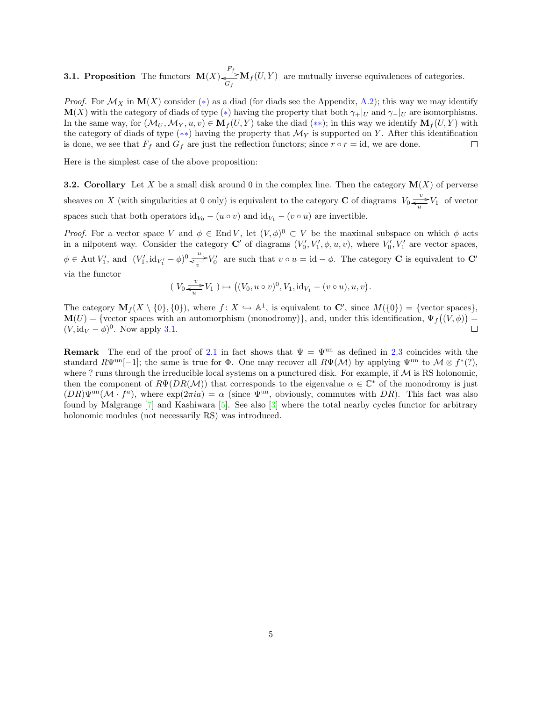<span id="page-4-0"></span>**3.1. Proposition** The functors  $\mathbf{M}(X) \stackrel{F_f}{\underset{G_f}{\rightleftharpoons}} \mathbf{M}_f(U, Y)$  are mutually inverse equivalences of categories.

*Proof.* For  $\mathcal{M}_X$  in  $\mathbf{M}(X)$  consider (\*) as a diad (for diads see the Appendix, [A.2\)](#page-5-0); this way we may identify  $\mathbf{M}(X)$  with the category of diads of type (\*) having the property that both  $\gamma_+|_U$  and  $\gamma_-|_U$  are isomorphisms. In the same way, for  $(\mathcal{M}_U, \mathcal{M}_Y, u, v) \in \mathbf{M}_f(U, Y)$  take the diad  $(**)$ ; in this way we identify  $\mathbf{M}_f(U, Y)$  with the category of diads of type (\*\*) having the property that  $\mathcal{M}_Y$  is supported on Y. After this identification is done, we see that  $F_f$  and  $G_f$  are just the reflection functors; since  $r \circ r = id$ , we are done.  $\Box$ 

Here is the simplest case of the above proposition:

**3.2. Corollary** Let X be a small disk around 0 in the complex line. Then the category  $\mathbf{M}(X)$  of perverse sheaves on X (with singularities at 0 only) is equivalent to the category **C** of diagrams  $V_0 \frac{v}{\epsilon_u} V_1$  of vector spaces such that both operators  $\mathrm{id}_{V_0} - (u \circ v)$  and  $\mathrm{id}_{V_1} - (v \circ u)$  are invertible.

*Proof.* For a vector space V and  $\phi \in \text{End } V$ , let  $(V, \phi)^0 \subset V$  be the maximal subspace on which  $\phi$  acts in a nilpotent way. Consider the category  $\mathbb{C}'$  of diagrams  $(V'_0, V'_1, \phi, u, v)$ , where  $V'_0, V'_1$  are vector spaces,  $\phi \in \text{Aut } V_1'$ , and  $(V_1', \text{id}_{V_1'} - \phi)^0 \frac{u}{\phi} V_0'$  are such that  $v \circ u = \text{id} - \phi$ . The category **C** is equivalent to **C**' via the functor

$$
(V_0 \frac{v}{\underbrace{\qquad \qquad v}} V_1 ) \mapsto ((V_0, u \circ v)^0, V_1, id_{V_1} - (v \circ u), u, v).
$$

The category  $\mathbf{M}_f(X \setminus \{0\}, \{0\})$ , where  $f: X \hookrightarrow \mathbb{A}^1$ , is equivalent to  $\mathbf{C}'$ , since  $M(\{0\}) = \{\text{vector spaces}\},\$  $\mathbf{M}(U) = \{ \text{vector spaces with an automorphism (monodromy)} \}, \text{ and, under this identification, } \Psi_f((V, \phi)) =$  $(V, id_V - \phi)^0$ . Now apply [3.1.](#page-4-0)  $\Box$ 

**Remark** The end of the proof of [2.1](#page-2-1) in fact shows that  $\Psi = \Psi^{\text{un}}$  as defined in [2.3](#page-3-2) coincides with the standard  $R\Psi^{\text{un}}[-1]$ ; the same is true for  $\Phi$ . One may recover all  $R\Psi(\mathcal{M})$  by applying  $\Psi^{\text{un}}$  to  $\mathcal{M}\otimes f^*(?),$ where ? runs through the irreducible local systems on a punctured disk. For example, if  $M$  is RS holonomic, then the component of  $R\Psi(DR(\mathcal{M}))$  that corresponds to the eigenvalue  $\alpha \in \mathbb{C}^*$  of the monodromy is just  $(DR)\Psi^{\text{un}}(\mathcal{M}\cdot f^a)$ , where  $\exp(2\pi ia) = \alpha$  (since  $\Psi^{\text{un}}$ , obviously, commutes with DR). This fact was also found by Malgrange [\[7\]](#page-7-7) and Kashiwara [\[5\]](#page-7-8). See also [\[3\]](#page-7-9) where the total nearby cycles functor for arbitrary holonomic modules (not necessarily RS) was introduced.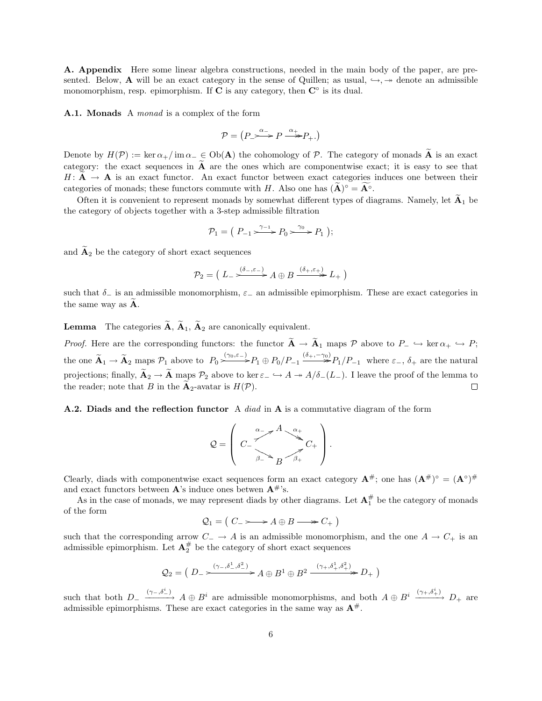A. Appendix Here some linear algebra constructions, needed in the main body of the paper, are presented. Below, **A** will be an exact category in the sense of Quillen; as usual,  $\rightarrow$ ,  $\rightarrow$  denote an admissible monomorphism, resp. epimorphism. If  $C$  is any category, then  $C^{\circ}$  is its dual.

<span id="page-5-1"></span>A.1. Monads A *monad* is a complex of the form

$$
\mathcal{P} = \left( P \right. \xrightarrow{\alpha_-} P \xrightarrow{\alpha_+} P_+ \text{.} \right)
$$

Denote by  $H(\mathcal{P}) := \ker \alpha_+ / \mathrm{im} \alpha_- \in Ob(\mathbf{A})$  the cohomology of  $\mathcal{P}$ . The category of monads  $\widetilde{\mathbf{A}}$  is an exact category: the exact sequences in  $\tilde{A}$  are the ones which are componentwise exact; it is easy to see that  $H: \mathbf{A} \to \mathbf{A}$  is an exact functor. An exact functor between exact categories induces one between their categories of monads; these functors commute with H. Also one has  $(\widetilde{\mathbf{A}})^{\circ} = \widetilde{\mathbf{A}}^{\circ}$ .

Often it is convenient to represent monads by somewhat different types of diagrams. Namely, let  $\widetilde{A}_1$  be the category of objects together with a 3-step admissible filtration

$$
\mathcal{P}_1 = \left( \begin{array}{c} P_{-1} & \xrightarrow{\gamma_{-1}} P_0 & \xrightarrow{\gamma_0} P_1 \end{array} \right);
$$

and  $\widetilde{A}_2$  be the category of short exact sequences

$$
\mathcal{P}_2 = \left( L_- \xrightarrow{\left( \delta_- , \varepsilon_- \right)} A \oplus B \xrightarrow{\left( \delta_+ , \varepsilon_+ \right)} L_+ \right)
$$

such that  $\delta_-\$  is an admissible monomorphism,  $\varepsilon_-\$ an admissible epimorphism. These are exact categories in the same way as  $\bf{A}$ .

**Lemma** The categories  $\widetilde{A}$ ,  $\widetilde{A}_1$ ,  $\widetilde{A}_2$  are canonically equivalent.

*Proof.* Here are the corresponding functors: the functor  $\widetilde{A} \to \widetilde{A}_1$  maps  $\mathcal P$  above to  $P_- \hookrightarrow \ker \alpha_+ \hookrightarrow P$ ; the one  $\widetilde{\mathbf{A}}_1 \to \widetilde{\mathbf{A}}_2$  maps  $\mathcal{P}_1$  above to  $P_0 \xrightarrow{\gamma_0, \varepsilon_-} P_1 \oplus P_0/P_{-1} \xrightarrow{(\delta_+, -\gamma_0)} P_1/P_{-1}$  where  $\varepsilon_-, \delta_+$  are the natural projections; finally,  $\widetilde{A}_2 \to \widetilde{A}$  maps  $\mathcal{P}_2$  above to ker  $\varepsilon_- \hookrightarrow A \twoheadrightarrow A/\delta_-(L_-)$ . I leave the proof of the lemma to the reader: note that B in the  $\widetilde{A}_2$ -avatar is  $H(\mathcal{P})$ . the reader; note that B in the  $\mathbf{A}_2$ -avatar is  $H(\mathcal{P})$ .

#### <span id="page-5-0"></span>**A.2.** Diads and the reflection functor A *diad* in A is a commutative diagram of the form

$$
Q = \left( C - \frac{A - A}{A - A} C_{+} C_{+} \right).
$$

Clearly, diads with componentwise exact sequences form an exact category  $A^{\#}$ ; one has  $(A^{\#})^{\circ} = (A^{\circ})^{\#}$ and exact functors between  $\mathbf{A}$ 's induce ones betwen  $\mathbf{A}^{\#}$ 's.

As in the case of monads, we may represent diads by other diagrams. Let  $A_1^{\#}$  be the category of monads of the form

$$
\mathcal{Q}_1 = \left( \begin{array}{c} C_- & \longrightarrow A \oplus B \longrightarrow C_+ \end{array} \right)
$$

such that the corresponding arrow  $C_-\to A$  is an admissible monomorphism, and the one  $A\to C_+$  is an admissible epimorphism. Let  $\mathbf{A}_2^{\#}$  be the category of short exact sequences

$$
Q_2 = \left(D - \frac{(\gamma_-, \delta_-^1, \delta_-^2)}{(\gamma_-, \delta_-^1, \delta_+^2)} A \oplus B^1 \oplus B^2 \xrightarrow{(\gamma_+, \delta_+^1, \delta_+^2)} D_+\right)
$$

such that both  $D_-\xrightarrow{(\gamma_-, \delta_-^i)} A \oplus B^i$  are admissible monomorphisms, and both  $A \oplus B^i \xrightarrow{(\gamma_+, \delta_+^i)} D_+$  are admissible epimorphisms. These are exact categories in the same way as  $A^{\#}$ .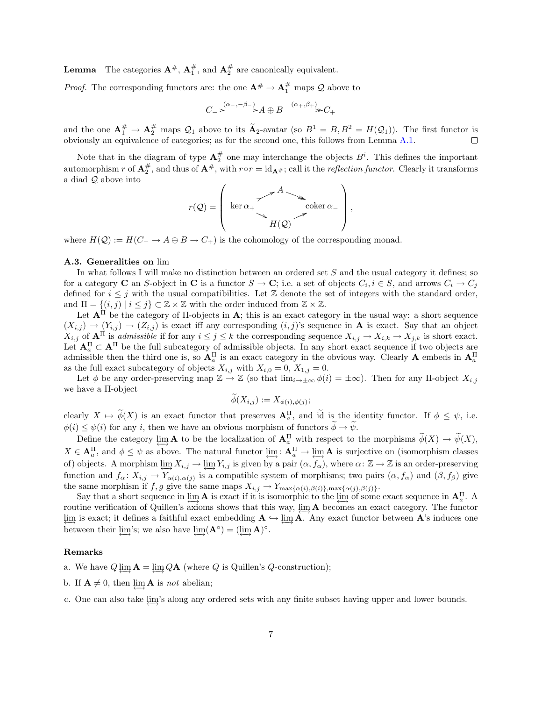**Lemma** The categories  $A^{\#}$ ,  $A_1^{\#}$ , and  $A_2^{\#}$  are canonically equivalent.

*Proof.* The corresponding functors are: the one  $A^{\#} \rightarrow A_1^{\#}$  maps Q above to

$$
C_{-} \xrightarrow{(\alpha_{-}, -\beta_{-})} A \oplus B \xrightarrow{(\alpha_{+}, \beta_{+})} C_{+}
$$

and the one  $\mathbf{A}_1^{\#} \to \mathbf{A}_2^{\#}$  maps  $\mathcal{Q}_1$  above to its  $\widetilde{\mathbf{A}}_2$ -avatar (so  $B^1 = B, B^2 = H(\mathcal{Q}_1)$ ). The first functor is obviously an equivalence of categories; as for the second one, this follows from Le

Note that in the diagram of type  $\mathbf{A}_{2}^{\#}$  one may interchange the objects  $B^{i}$ . This defines the important automorphism r of  $A_2^{\#}$ , and thus of  $A^{\#}$ , with  $r \circ r = id_{A^{\#}}$ ; call it the reflection functor. Clearly it transforms a diad Q above into



where  $H(Q) := H(C_ \to A \oplus B \to C_+)$  is the cohomology of the corresponding monad.

#### <span id="page-6-0"></span>A.3. Generalities on lim

In what follows I will make no distinction between an ordered set  $S$  and the usual category it defines; so for a category **C** an S-object in **C** is a functor  $S \to \mathbf{C}$ ; i.e. a set of objects  $C_i$ ,  $i \in S$ , and arrows  $C_i \to C_j$ defined for  $i \leq j$  with the usual compatibilities. Let Z denote the set of integers with the standard order, and  $\Pi = \{(i, j) | i \leq j\} \subset \mathbb{Z} \times \mathbb{Z}$  with the order induced from  $\mathbb{Z} \times \mathbb{Z}$ .

Let  $A<sup>H</sup>$  be the category of  $\Pi$ -objects in  $A$ ; this is an exact category in the usual way: a short sequence  $(X_{i,j}) \to (Y_{i,j}) \to (Z_{i,j})$  is exact iff any corresponding  $(i,j)$ 's sequence in **A** is exact. Say that an object  $X_{i,j}$  of  $A^{\Pi}$  is admissible if for any  $i \leq j \leq k$  the corresponding sequence  $X_{i,j} \to X_{i,k} \to X_{j,k}$  is short exact. Let  $A_a^{\Pi} \subset A^{\Pi}$  be the full subcategory of admissible objects. In any short exact sequence if two objects are admissible then the third one is, so  $A_a^{\Pi}$  is an exact category in the obvious way. Clearly A embeds in  $A_a^{\Pi}$ as the full exact subcategory of objects  $X_{i,j}$  with  $X_{i,0} = 0$ ,  $X_{1,j} = 0$ .

Let  $\phi$  be any order-preserving map  $\mathbb{Z} \to \mathbb{Z}$  (so that  $\lim_{i \to \pm \infty} \phi(i) = \pm \infty$ ). Then for any II-object  $X_{i,j}$ we have a Π-object

$$
\phi(X_{i,j}) := X_{\phi(i), \phi(j)};
$$

clearly  $X \mapsto \phi(X)$  is an exact functor that preserves  $\mathbf{A}_a^{\Pi}$ , and id is the identity functor. If  $\phi \leq \psi$ , i.e.  $\phi(i) \leq \psi(i)$  for any i, then we have an obvious morphism of functors  $\widetilde{\phi} \to \widetilde{\psi}$ .

Define the category  $\varprojlim_{\mathbf{A}} \mathbf{A}$  to be the localization of  $\mathbf{A}_{a}^{\Pi}$  with respect to the morphisms  $\phi(X) \to \psi(X)$ ,  $X \in \mathbf{A}_{a}^{\Pi}$ , and  $\phi \leq \psi$  as above. The natural functor  $\varprojlim: \mathbf{A}_{a}^{\Pi} \to \varprojlim \mathbf{A}$  is surjective on (isomorphism classes of) objects. A morphism  $\varprojlim X_{i,j} \to \varprojlim Y_{i,j}$  is given by a pair  $(\alpha, f_\alpha)$ , where  $\alpha: \mathbb{Z} \to \mathbb{Z}$  is an order-preserving function and  $f_{\alpha}: X_{i,j} \to Y_{\alpha(i),\alpha(j)}$  is a compatible system of morphisms; two pairs  $(\alpha, f_{\alpha})$  and  $(\beta, f_{\beta})$  give the same morphism if f, g give the same maps  $X_{i,j} \to Y_{\max{\{\alpha(i), \beta(i)\}},\max{\{\alpha(j), \beta(j)\}}}.$ 

Say that a short sequence in  $\lim_{\epsilon \to 0} A$  is exact if it is isomorphic to the  $\lim_{\epsilon \to 0}$  of some exact sequence in  $A_n^{\Pi}$ . routine verification of Quillen's axioms shows that this way,  $\lim_{\Delta} A$  becomes an exact category. The functor lim is exact; it defines a faithful exact embedding  $A \hookrightarrow \lim \hat{A}$ . Any exact functor between A's induces one between their  $\varprojlim$ 's; we also have  $\varprojlim(\mathbf{A}^{\circ}) = (\varprojlim \mathbf{A})^{\circ}$ .

#### Remarks

- a. We have  $Q \lim_{\mathbf{A}} \mathbf{A} = \lim_{\mathbf{A}} Q \mathbf{A}$  (where  $Q$  is Quillen's  $Q$ -construction);
- b. If  $A \neq 0$ , then  $\lim_{h \to \infty} A$  is not abelian;

c. One can also take lim's along any ordered sets with any finite subset having upper and lower bounds.